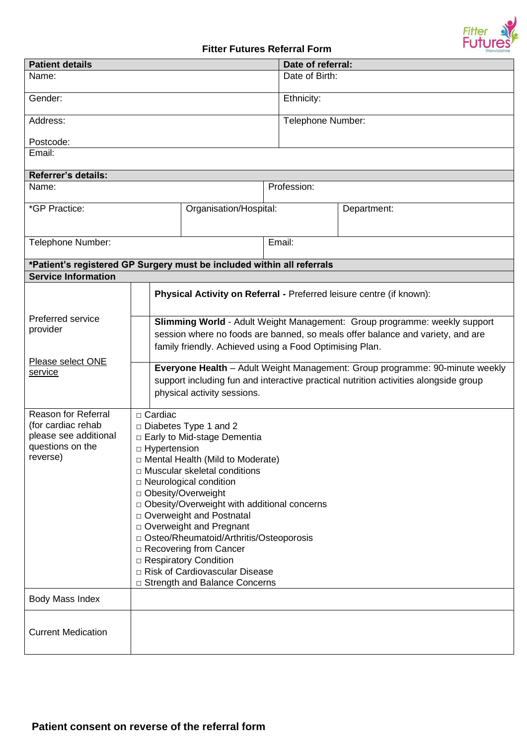

## **Fitter Futures Referral Form**

| <b>Patient details</b>                                                                                    |                                                                                                                                                                                                                                                                                                                                                                                                                                                                                                                      |                        |             | Date of referral: |  |  |  |  |  |
|-----------------------------------------------------------------------------------------------------------|----------------------------------------------------------------------------------------------------------------------------------------------------------------------------------------------------------------------------------------------------------------------------------------------------------------------------------------------------------------------------------------------------------------------------------------------------------------------------------------------------------------------|------------------------|-------------|-------------------|--|--|--|--|--|
| Name:                                                                                                     |                                                                                                                                                                                                                                                                                                                                                                                                                                                                                                                      |                        |             | Date of Birth:    |  |  |  |  |  |
| Gender:                                                                                                   |                                                                                                                                                                                                                                                                                                                                                                                                                                                                                                                      |                        | Ethnicity:  |                   |  |  |  |  |  |
| Address:                                                                                                  |                                                                                                                                                                                                                                                                                                                                                                                                                                                                                                                      |                        |             | Telephone Number: |  |  |  |  |  |
| Postcode:                                                                                                 |                                                                                                                                                                                                                                                                                                                                                                                                                                                                                                                      |                        |             |                   |  |  |  |  |  |
| Email:                                                                                                    |                                                                                                                                                                                                                                                                                                                                                                                                                                                                                                                      |                        |             |                   |  |  |  |  |  |
| <b>Referrer's details:</b>                                                                                |                                                                                                                                                                                                                                                                                                                                                                                                                                                                                                                      |                        |             |                   |  |  |  |  |  |
| Name:                                                                                                     |                                                                                                                                                                                                                                                                                                                                                                                                                                                                                                                      |                        | Profession: |                   |  |  |  |  |  |
| *GP Practice:                                                                                             |                                                                                                                                                                                                                                                                                                                                                                                                                                                                                                                      | Organisation/Hospital: |             | Department:       |  |  |  |  |  |
| Telephone Number:                                                                                         |                                                                                                                                                                                                                                                                                                                                                                                                                                                                                                                      | Email:                 |             |                   |  |  |  |  |  |
| *Patient's registered GP Surgery must be included within all referrals                                    |                                                                                                                                                                                                                                                                                                                                                                                                                                                                                                                      |                        |             |                   |  |  |  |  |  |
| <b>Service Information</b>                                                                                |                                                                                                                                                                                                                                                                                                                                                                                                                                                                                                                      |                        |             |                   |  |  |  |  |  |
|                                                                                                           | Physical Activity on Referral - Preferred leisure centre (if known):                                                                                                                                                                                                                                                                                                                                                                                                                                                 |                        |             |                   |  |  |  |  |  |
| Preferred service<br>provider                                                                             | Slimming World - Adult Weight Management: Group programme: weekly support<br>session where no foods are banned, so meals offer balance and variety, and are<br>family friendly. Achieved using a Food Optimising Plan.                                                                                                                                                                                                                                                                                               |                        |             |                   |  |  |  |  |  |
| Please select ONE<br>service                                                                              | Everyone Health - Adult Weight Management: Group programme: 90-minute weekly<br>support including fun and interactive practical nutrition activities alongside group<br>physical activity sessions.                                                                                                                                                                                                                                                                                                                  |                        |             |                   |  |  |  |  |  |
| <b>Reason for Referral</b><br>(for cardiac rehab<br>please see additional<br>questions on the<br>reverse) | □ Cardiac<br>□ Diabetes Type 1 and 2<br>□ Early to Mid-stage Dementia<br>□ Hypertension<br>$\Box$ Mental Health (Mild to Moderate)<br>□ Muscular skeletal conditions<br>$\Box$ Neurological condition<br>□ Obesity/Overweight<br>D Obesity/Overweight with additional concerns<br>□ Overweight and Postnatal<br>□ Overweight and Pregnant<br>□ Osteo/Rheumatoid/Arthritis/Osteoporosis<br>□ Recovering from Cancer<br>□ Respiratory Condition<br>□ Risk of Cardiovascular Disease<br>□ Strength and Balance Concerns |                        |             |                   |  |  |  |  |  |
| Body Mass Index                                                                                           |                                                                                                                                                                                                                                                                                                                                                                                                                                                                                                                      |                        |             |                   |  |  |  |  |  |
| <b>Current Medication</b>                                                                                 |                                                                                                                                                                                                                                                                                                                                                                                                                                                                                                                      |                        |             |                   |  |  |  |  |  |